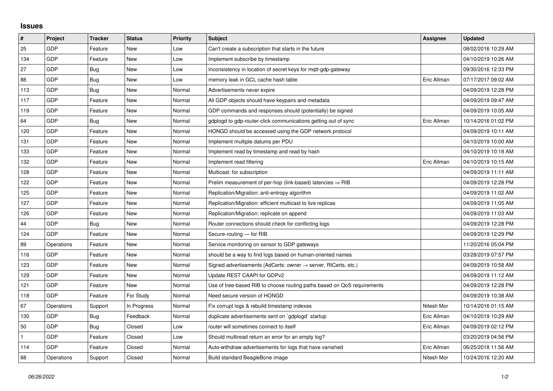## **Issues**

| $\sharp$     | Project    | <b>Tracker</b> | <b>Status</b> | <b>Priority</b> | <b>Subject</b>                                                             | <b>Assignee</b> | <b>Updated</b>      |
|--------------|------------|----------------|---------------|-----------------|----------------------------------------------------------------------------|-----------------|---------------------|
| 25           | GDP        | Feature        | New           | Low             | Can't create a subscription that starts in the future                      |                 | 08/02/2016 10:29 AM |
| 134          | GDP        | Feature        | New           | Low             | Implement subscribe by timestamp                                           |                 | 04/10/2019 10:26 AM |
| 27           | GDP        | Bug            | New           | Low             | Inconsistency in location of secret keys for mgtt-gdp-gateway              |                 | 09/30/2016 12:33 PM |
| 88           | GDP        | <b>Bug</b>     | <b>New</b>    | Low             | memory leak in GCL cache hash table                                        | Eric Allman     | 07/17/2017 09:02 AM |
| 113          | GDP        | Bug            | New           | Normal          | Advertisements never expire                                                |                 | 04/09/2019 12:28 PM |
| 117          | GDP        | Feature        | New           | Normal          | All GDP objects should have keypairs and metadata                          |                 | 04/09/2019 09:47 AM |
| 119          | GDP        | Feature        | New           | Normal          | GDP commands and responses should (potentially) be signed                  |                 | 04/09/2019 10:05 AM |
| 64           | GDP        | Bug            | New           | Normal          | gdplogd to gdp-router-click communications getting out of sync             | Eric Allman     | 10/14/2016 01:02 PM |
| 120          | GDP        | Feature        | New           | Normal          | HONGD should be accessed using the GDP network protocol                    |                 | 04/09/2019 10:11 AM |
| 131          | GDP        | Feature        | New           | Normal          | Implement multiple datums per PDU                                          |                 | 04/10/2019 10:00 AM |
| 133          | GDP        | Feature        | New           | Normal          | Implement read by timestamp and read by hash                               |                 | 04/10/2019 10:18 AM |
| 132          | GDP        | Feature        | New           | Normal          | Implement read filtering                                                   | Eric Allman     | 04/10/2019 10:15 AM |
| 128          | GDP        | Feature        | New           | Normal          | Multicast: for subscription                                                |                 | 04/09/2019 11:11 AM |
| 122          | GDP        | Feature        | New           | Normal          | Prelim measurement of per-hop (link-based) latencies $\Rightarrow$ RIB     |                 | 04/09/2019 12:28 PM |
| 125          | GDP        | Feature        | New           | Normal          | Replication/Migration: anti-entropy algorithm                              |                 | 04/09/2019 11:02 AM |
| 127          | GDP        | Feature        | <b>New</b>    | Normal          | Replication/Migration: efficient multicast to live replicas                |                 | 04/09/2019 11:05 AM |
| 126          | GDP        | Feature        | New           | Normal          | Replication/Migration: replicate on append                                 |                 | 04/09/2019 11:03 AM |
| 44           | <b>GDP</b> | Bug            | New           | Normal          | Router connections should check for conflicting logs                       |                 | 04/09/2019 12:28 PM |
| 124          | GDP        | Feature        | New           | Normal          | Secure-routing - for RIB                                                   |                 | 04/09/2019 12:29 PM |
| 89           | Operations | Feature        | New           | Normal          | Service monitoring on sensor to GDP gateways                               |                 | 11/20/2016 05:04 PM |
| 116          | GDP        | Feature        | New           | Normal          | should be a way to find logs based on human-oriented names                 |                 | 03/28/2019 07:57 PM |
| 123          | GDP        | Feature        | New           | Normal          | Signed advertisements (AdCerts: owner $\rightarrow$ server, RtCerts, etc.) |                 | 04/09/2019 10:58 AM |
| 129          | GDP        | Feature        | New           | Normal          | Update REST CAAPI for GDPv2                                                |                 | 04/09/2019 11:12 AM |
| 121          | GDP        | Feature        | New           | Normal          | Use of tree-based RIB to choose routing paths based on QoS requirements    |                 | 04/09/2019 12:28 PM |
| 118          | GDP        | Feature        | For Study     | Normal          | Need secure version of HONGD                                               |                 | 04/09/2019 10:38 AM |
| 67           | Operations | Support        | In Progress   | Normal          | Fix corrupt logs & rebuild timestamp indexes                               | Nitesh Mor      | 10/14/2016 01:15 AM |
| 130          | GDP        | Bug            | Feedback      | Normal          | duplicate advertisements sent on `gdplogd` startup                         | Eric Allman     | 04/10/2019 10:29 AM |
| 50           | GDP        | Bug            | Closed        | Low             | router will sometimes connect to itself                                    | Eric Allman     | 04/09/2019 02:12 PM |
| $\mathbf{1}$ | GDP        | Feature        | Closed        | Low             | Should multiread return an error for an empty log?                         |                 | 03/20/2019 04:56 PM |
| 114          | GDP        | Feature        | Closed        | Normal          | Auto-withdraw advertisements for logs that have vanished                   | Eric Allman     | 06/25/2018 11:56 AM |
| 68           | Operations | Support        | Closed        | Normal          | Build standard BeagleBone image                                            | Nitesh Mor      | 10/24/2016 12:20 AM |